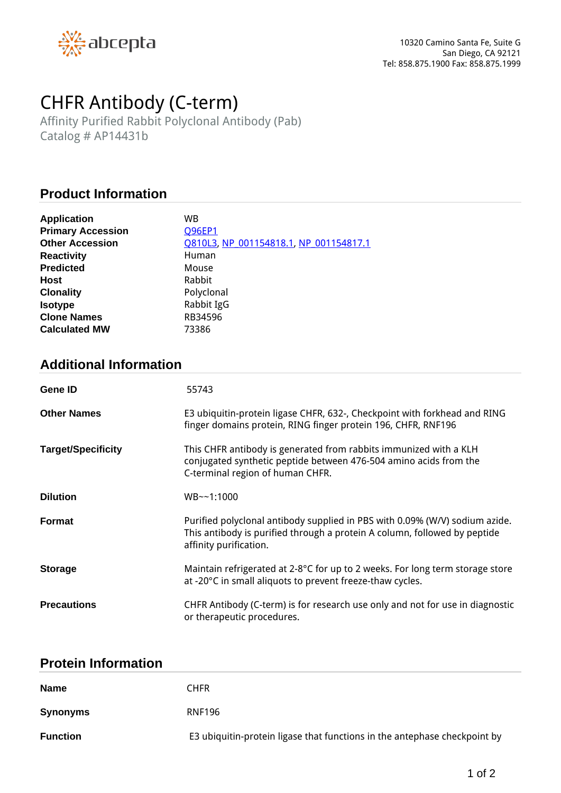

# *CHFR Antibody (C-term)*

*Affinity Purified Rabbit Polyclonal Antibody (Pab) Catalog # AP14431b*

## **Product Information**

| <b>Application</b>       | WВ                                     |
|--------------------------|----------------------------------------|
| <b>Primary Accession</b> | <b>Q96EP1</b>                          |
| <b>Other Accession</b>   | 0810L3, NP 001154818.1, NP 001154817.1 |
| <b>Reactivity</b>        | Human                                  |
| <b>Predicted</b>         | Mouse                                  |
| <b>Host</b>              | Rabbit                                 |
| <b>Clonality</b>         | Polyclonal                             |
| <b>Isotype</b>           | Rabbit IgG                             |
| <b>Clone Names</b>       | RB34596                                |
| <b>Calculated MW</b>     | 73386                                  |

## **Additional Information**

| Gene ID                   | 55743                                                                                                                                                                              |
|---------------------------|------------------------------------------------------------------------------------------------------------------------------------------------------------------------------------|
| <b>Other Names</b>        | E3 ubiquitin-protein ligase CHFR, 632-, Checkpoint with forkhead and RING<br>finger domains protein, RING finger protein 196, CHFR, RNF196                                         |
| <b>Target/Specificity</b> | This CHFR antibody is generated from rabbits immunized with a KLH<br>conjugated synthetic peptide between 476-504 amino acids from the<br>C-terminal region of human CHFR.         |
| <b>Dilution</b>           | $WB \sim 1:1000$                                                                                                                                                                   |
| <b>Format</b>             | Purified polyclonal antibody supplied in PBS with 0.09% (W/V) sodium azide.<br>This antibody is purified through a protein A column, followed by peptide<br>affinity purification. |
| <b>Storage</b>            | Maintain refrigerated at 2-8°C for up to 2 weeks. For long term storage store<br>at -20°C in small aliquots to prevent freeze-thaw cycles.                                         |
| <b>Precautions</b>        | CHFR Antibody (C-term) is for research use only and not for use in diagnostic<br>or therapeutic procedures.                                                                        |

#### **Protein Information**

| <b>Name</b>     | CHFR                                                                      |
|-----------------|---------------------------------------------------------------------------|
| <b>Synonyms</b> | <b>RNF196</b>                                                             |
| <b>Function</b> | E3 ubiquitin-protein ligase that functions in the antephase checkpoint by |